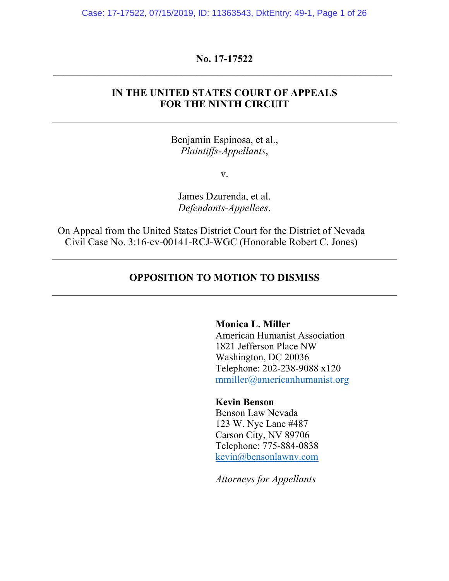Case: 17-17522, 07/15/2019, ID: 11363543, DktEntry: 49-1, Page 1 of 26

## **No. 17-17522 \_\_\_\_\_\_\_\_\_\_\_\_\_\_\_\_\_\_\_\_\_\_\_\_\_\_\_\_\_\_\_\_\_\_\_\_\_\_\_\_\_\_\_\_\_\_\_\_\_\_\_\_\_\_\_\_\_\_\_\_\_\_\_\_\_\_**

## **IN THE UNITED STATES COURT OF APPEALS FOR THE NINTH CIRCUIT**

Benjamin Espinosa, et al., *Plaintiffs-Appellants*,

v.

James Dzurenda, et al. *Defendants-Appellees*.

On Appeal from the United States District Court for the District of Nevada Civil Case No. 3:16-cv-00141-RCJ-WGC (Honorable Robert C. Jones)

### **OPPOSITION TO MOTION TO DISMISS**

**Monica L. Miller** 

American Humanist Association 1821 Jefferson Place NW Washington, DC 20036 Telephone: 202-238-9088 x120 mmiller@americanhumanist.org

**Kevin Benson**

Benson Law Nevada 123 W. Nye Lane #487 Carson City, NV 89706 Telephone: 775-884-0838 kevin@bensonlawnv.com

*Attorneys for Appellants*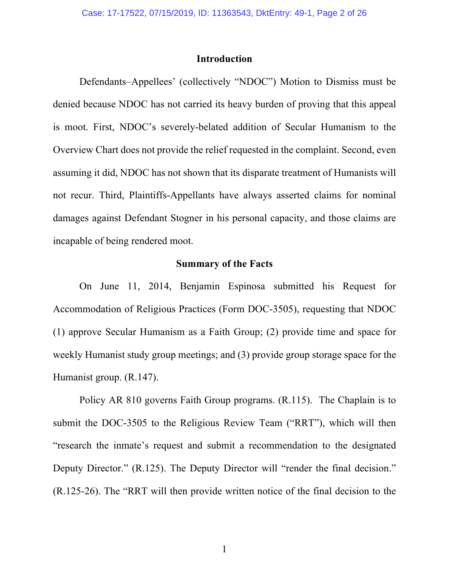### **Introduction**

Defendants–Appellees' (collectively "NDOC") Motion to Dismiss must be denied because NDOC has not carried its heavy burden of proving that this appeal is moot. First, NDOC's severely-belated addition of Secular Humanism to the Overview Chart does not provide the relief requested in the complaint. Second, even assuming it did, NDOC has not shown that its disparate treatment of Humanists will not recur. Third, Plaintiffs-Appellants have always asserted claims for nominal damages against Defendant Stogner in his personal capacity, and those claims are incapable of being rendered moot.

## **Summary of the Facts**

On June 11, 2014, Benjamin Espinosa submitted his Request for Accommodation of Religious Practices (Form DOC-3505), requesting that NDOC (1) approve Secular Humanism as a Faith Group; (2) provide time and space for weekly Humanist study group meetings; and (3) provide group storage space for the Humanist group. (R.147).

Policy AR 810 governs Faith Group programs. (R.115). The Chaplain is to submit the DOC-3505 to the Religious Review Team ("RRT"), which will then "research the inmate's request and submit a recommendation to the designated Deputy Director." (R.125). The Deputy Director will "render the final decision." (R.125-26). The "RRT will then provide written notice of the final decision to the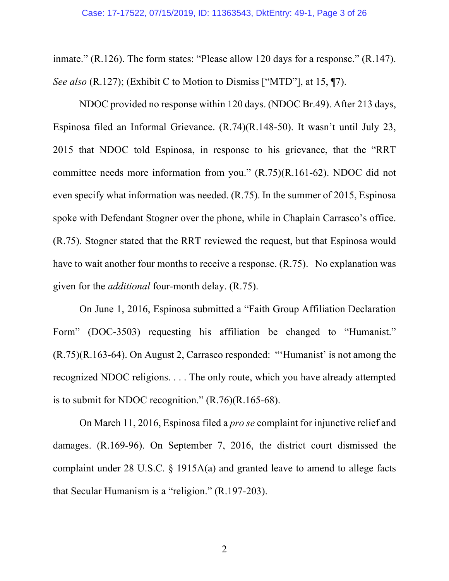#### Case: 17-17522, 07/15/2019, ID: 11363543, DktEntry: 49-1, Page 3 of 26

inmate." (R.126). The form states: "Please allow 120 days for a response." (R.147). *See also* (R.127); (Exhibit C to Motion to Dismiss ["MTD"], at 15, ¶7).

NDOC provided no response within 120 days. (NDOC Br.49). After 213 days, Espinosa filed an Informal Grievance. (R.74)(R.148-50). It wasn't until July 23, 2015 that NDOC told Espinosa, in response to his grievance, that the "RRT committee needs more information from you." (R.75)(R.161-62). NDOC did not even specify what information was needed. (R.75). In the summer of 2015, Espinosa spoke with Defendant Stogner over the phone, while in Chaplain Carrasco's office. (R.75). Stogner stated that the RRT reviewed the request, but that Espinosa would have to wait another four months to receive a response. (R.75). No explanation was given for the *additional* four-month delay. (R.75).

On June 1, 2016, Espinosa submitted a "Faith Group Affiliation Declaration Form" (DOC-3503) requesting his affiliation be changed to "Humanist." (R.75)(R.163-64). On August 2, Carrasco responded: "'Humanist' is not among the recognized NDOC religions. . . . The only route, which you have already attempted is to submit for NDOC recognition."  $(R.76)(R.165-68)$ .

On March 11, 2016, Espinosa filed a *pro se* complaint for injunctive relief and damages. (R.169-96). On September 7, 2016, the district court dismissed the complaint under 28 U.S.C. § 1915A(a) and granted leave to amend to allege facts that Secular Humanism is a "religion." (R.197-203).

2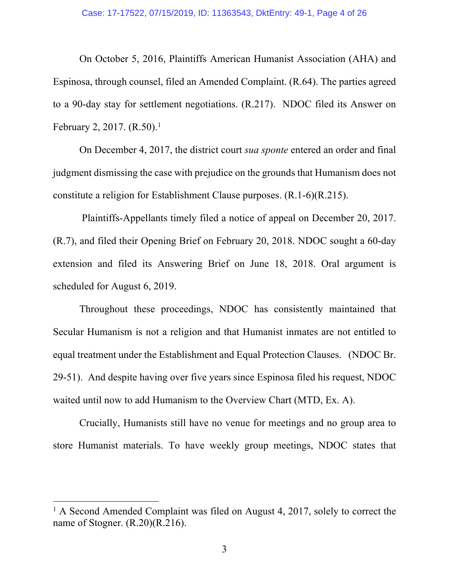#### Case: 17-17522, 07/15/2019, ID: 11363543, DktEntry: 49-1, Page 4 of 26

On October 5, 2016, Plaintiffs American Humanist Association (AHA) and Espinosa, through counsel, filed an Amended Complaint. (R.64). The parties agreed to a 90-day stay for settlement negotiations. (R.217). NDOC filed its Answer on February 2, 2017. (R.50).<sup>1</sup>

On December 4, 2017, the district court *sua sponte* entered an order and final judgment dismissing the case with prejudice on the grounds that Humanism does not constitute a religion for Establishment Clause purposes. (R.1-6)(R.215).

Plaintiffs-Appellants timely filed a notice of appeal on December 20, 2017. (R.7), and filed their Opening Brief on February 20, 2018. NDOC sought a 60-day extension and filed its Answering Brief on June 18, 2018. Oral argument is scheduled for August 6, 2019.

Throughout these proceedings, NDOC has consistently maintained that Secular Humanism is not a religion and that Humanist inmates are not entitled to equal treatment under the Establishment and Equal Protection Clauses. (NDOC Br. 29-51). And despite having over five years since Espinosa filed his request, NDOC waited until now to add Humanism to the Overview Chart (MTD, Ex. A).

Crucially, Humanists still have no venue for meetings and no group area to store Humanist materials. To have weekly group meetings, NDOC states that

<sup>&</sup>lt;sup>1</sup> A Second Amended Complaint was filed on August 4, 2017, solely to correct the name of Stogner. (R.20)(R.216).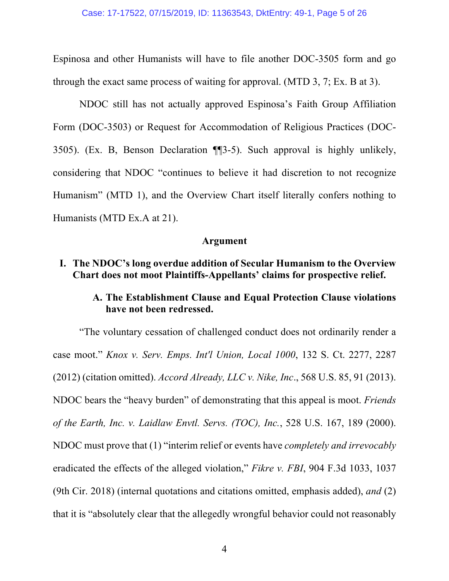Espinosa and other Humanists will have to file another DOC-3505 form and go through the exact same process of waiting for approval. (MTD 3, 7; Ex. B at 3).

NDOC still has not actually approved Espinosa's Faith Group Affiliation Form (DOC-3503) or Request for Accommodation of Religious Practices (DOC-3505). (Ex. B, Benson Declaration ¶¶3-5). Such approval is highly unlikely, considering that NDOC "continues to believe it had discretion to not recognize Humanism" (MTD 1), and the Overview Chart itself literally confers nothing to Humanists (MTD Ex.A at 21).

#### **Argument**

## **I. The NDOC's long overdue addition of Secular Humanism to the Overview Chart does not moot Plaintiffs-Appellants' claims for prospective relief.**

# **A. The Establishment Clause and Equal Protection Clause violations have not been redressed.**

"The voluntary cessation of challenged conduct does not ordinarily render a case moot." *Knox v. Serv. Emps. Int'l Union, Local 1000*, 132 S. Ct. 2277, 2287 (2012) (citation omitted). *Accord Already, LLC v. Nike, Inc*., 568 U.S. 85, 91 (2013). NDOC bears the "heavy burden" of demonstrating that this appeal is moot. *Friends of the Earth, Inc. v. Laidlaw Envtl. Servs. (TOC), Inc.*, 528 U.S. 167, 189 (2000). NDOC must prove that (1) "interim relief or events have *completely and irrevocably*  eradicated the effects of the alleged violation," *Fikre v. FBI*, 904 F.3d 1033, 1037 (9th Cir. 2018) (internal quotations and citations omitted, emphasis added), *and* (2) that it is "absolutely clear that the allegedly wrongful behavior could not reasonably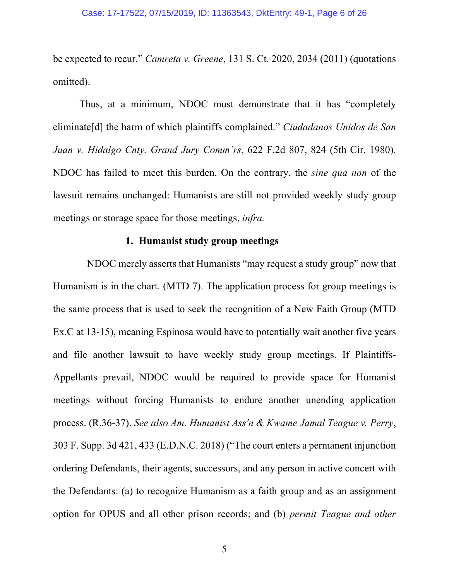be expected to recur." *Camreta v. Greene*, 131 S. Ct. 2020, 2034 (2011) (quotations omitted).

Thus, at a minimum, NDOC must demonstrate that it has "completely eliminate[d] the harm of which plaintiffs complained." *Ciudadanos Unidos de San Juan v. Hidalgo Cnty. Grand Jury Comm'rs*, 622 F.2d 807, 824 (5th Cir. 1980). NDOC has failed to meet this burden. On the contrary, the *sine qua non* of the lawsuit remains unchanged: Humanists are still not provided weekly study group meetings or storage space for those meetings, *infra.* 

### **1. Humanist study group meetings**

NDOC merely asserts that Humanists "may request a study group" now that Humanism is in the chart. (MTD 7). The application process for group meetings is the same process that is used to seek the recognition of a New Faith Group (MTD Ex.C at 13-15), meaning Espinosa would have to potentially wait another five years and file another lawsuit to have weekly study group meetings. If Plaintiffs-Appellants prevail, NDOC would be required to provide space for Humanist meetings without forcing Humanists to endure another unending application process. (R.36-37). *See also Am. Humanist Ass'n & Kwame Jamal Teague v. Perry*, 303 F. Supp. 3d 421, 433 (E.D.N.C. 2018) ("The court enters a permanent injunction ordering Defendants, their agents, successors, and any person in active concert with the Defendants: (a) to recognize Humanism as a faith group and as an assignment option for OPUS and all other prison records; and (b) *permit Teague and other*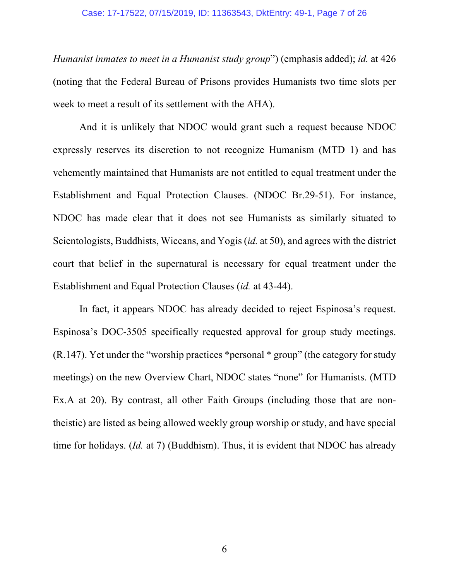#### Case: 17-17522, 07/15/2019, ID: 11363543, DktEntry: 49-1, Page 7 of 26

*Humanist inmates to meet in a Humanist study group*") (emphasis added); *id.* at 426 (noting that the Federal Bureau of Prisons provides Humanists two time slots per week to meet a result of its settlement with the AHA).

And it is unlikely that NDOC would grant such a request because NDOC expressly reserves its discretion to not recognize Humanism (MTD 1) and has vehemently maintained that Humanists are not entitled to equal treatment under the Establishment and Equal Protection Clauses. (NDOC Br.29-51). For instance, NDOC has made clear that it does not see Humanists as similarly situated to Scientologists, Buddhists, Wiccans, and Yogis (*id.* at 50), and agrees with the district court that belief in the supernatural is necessary for equal treatment under the Establishment and Equal Protection Clauses (*id.* at 43-44).

In fact, it appears NDOC has already decided to reject Espinosa's request. Espinosa's DOC-3505 specifically requested approval for group study meetings. (R.147). Yet under the "worship practices \*personal \* group" (the category for study meetings) on the new Overview Chart, NDOC states "none" for Humanists. (MTD Ex.A at 20). By contrast, all other Faith Groups (including those that are nontheistic) are listed as being allowed weekly group worship or study, and have special time for holidays. (*Id.* at 7) (Buddhism). Thus, it is evident that NDOC has already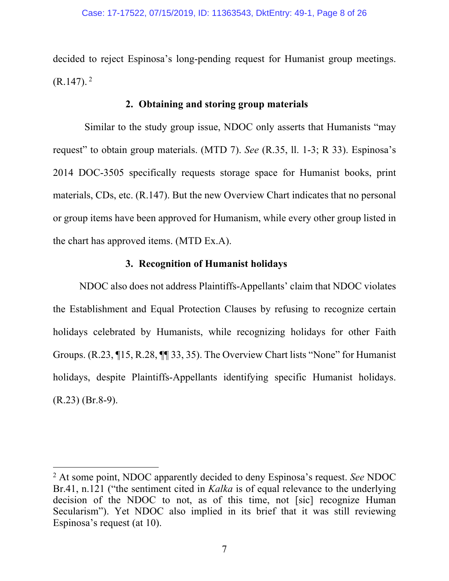decided to reject Espinosa's long-pending request for Humanist group meetings.  $(R.147).<sup>2</sup>$ 

### **2. Obtaining and storing group materials**

Similar to the study group issue, NDOC only asserts that Humanists "may request" to obtain group materials. (MTD 7). *See* (R.35, ll. 1-3; R 33). Espinosa's 2014 DOC-3505 specifically requests storage space for Humanist books, print materials, CDs, etc. (R.147). But the new Overview Chart indicates that no personal or group items have been approved for Humanism, while every other group listed in the chart has approved items. (MTD Ex.A).

## **3. Recognition of Humanist holidays**

NDOC also does not address Plaintiffs-Appellants' claim that NDOC violates the Establishment and Equal Protection Clauses by refusing to recognize certain holidays celebrated by Humanists, while recognizing holidays for other Faith Groups. (R.23, ¶15, R.28, ¶¶ 33, 35). The Overview Chart lists "None" for Humanist holidays, despite Plaintiffs-Appellants identifying specific Humanist holidays.  $(R.23)$  (Br.8-9).

 <sup>2</sup> At some point, NDOC apparently decided to deny Espinosa's request. *See* NDOC Br.41, n.121 ("the sentiment cited in *Kalka* is of equal relevance to the underlying decision of the NDOC to not, as of this time, not [sic] recognize Human Secularism"). Yet NDOC also implied in its brief that it was still reviewing Espinosa's request (at 10).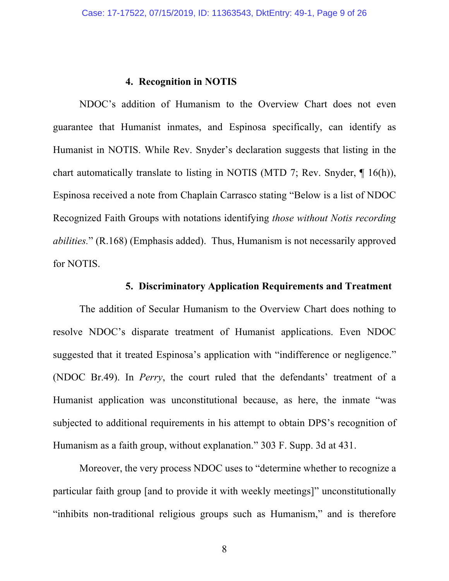### **4. Recognition in NOTIS**

NDOC's addition of Humanism to the Overview Chart does not even guarantee that Humanist inmates, and Espinosa specifically, can identify as Humanist in NOTIS. While Rev. Snyder's declaration suggests that listing in the chart automatically translate to listing in NOTIS (MTD 7; Rev. Snyder, ¶ 16(h)), Espinosa received a note from Chaplain Carrasco stating "Below is a list of NDOC Recognized Faith Groups with notations identifying *those without Notis recording abilities.*" (R.168) (Emphasis added). Thus, Humanism is not necessarily approved for NOTIS.

### **5. Discriminatory Application Requirements and Treatment**

The addition of Secular Humanism to the Overview Chart does nothing to resolve NDOC's disparate treatment of Humanist applications. Even NDOC suggested that it treated Espinosa's application with "indifference or negligence." (NDOC Br.49). In *Perry*, the court ruled that the defendants' treatment of a Humanist application was unconstitutional because, as here, the inmate "was subjected to additional requirements in his attempt to obtain DPS's recognition of Humanism as a faith group, without explanation." 303 F. Supp. 3d at 431.

Moreover, the very process NDOC uses to "determine whether to recognize a particular faith group [and to provide it with weekly meetings]" unconstitutionally "inhibits non-traditional religious groups such as Humanism," and is therefore

8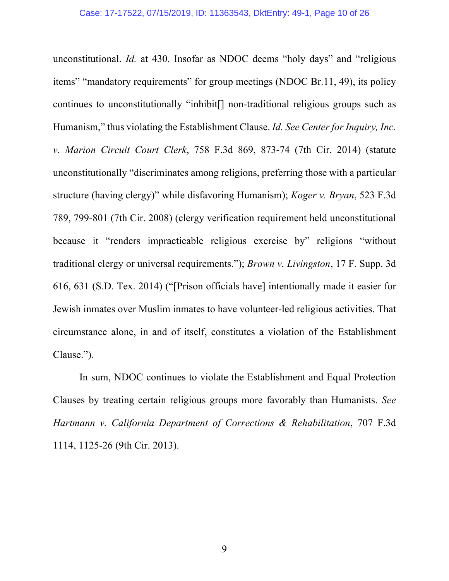unconstitutional. *Id.* at 430. Insofar as NDOC deems "holy days" and "religious items" "mandatory requirements" for group meetings (NDOC Br.11, 49), its policy continues to unconstitutionally "inhibit[] non-traditional religious groups such as Humanism," thus violating the Establishment Clause. *Id. See Center for Inquiry, Inc. v. Marion Circuit Court Clerk*, 758 F.3d 869, 873-74 (7th Cir. 2014) (statute unconstitutionally "discriminates among religions, preferring those with a particular structure (having clergy)" while disfavoring Humanism); *Koger v. Bryan*, 523 F.3d 789, 799-801 (7th Cir. 2008) (clergy verification requirement held unconstitutional because it "renders impracticable religious exercise by" religions "without traditional clergy or universal requirements."); *Brown v. Livingston*, 17 F. Supp. 3d 616, 631 (S.D. Tex. 2014) ("[Prison officials have] intentionally made it easier for Jewish inmates over Muslim inmates to have volunteer-led religious activities. That circumstance alone, in and of itself, constitutes a violation of the Establishment Clause.").

In sum, NDOC continues to violate the Establishment and Equal Protection Clauses by treating certain religious groups more favorably than Humanists. *See Hartmann v. California Department of Corrections & Rehabilitation*, 707 F.3d 1114, 1125-26 (9th Cir. 2013).

9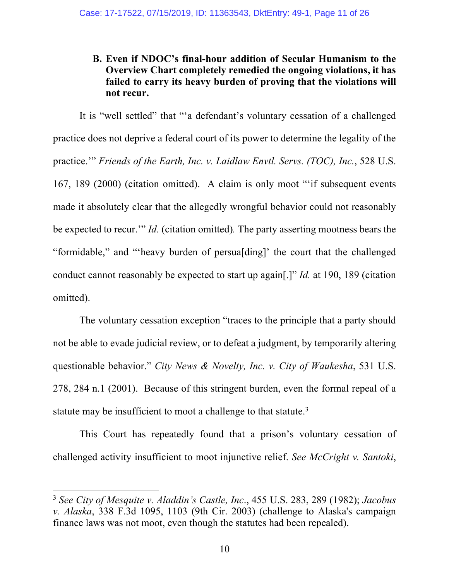## **B. Even if NDOC's final-hour addition of Secular Humanism to the Overview Chart completely remedied the ongoing violations, it has failed to carry its heavy burden of proving that the violations will not recur.**

It is "well settled" that "'a defendant's voluntary cessation of a challenged practice does not deprive a federal court of its power to determine the legality of the practice.'" *Friends of the Earth, Inc. v. Laidlaw Envtl. Servs. (TOC), Inc.*, 528 U.S. 167, 189 (2000) (citation omitted). A claim is only moot "'if subsequent events made it absolutely clear that the allegedly wrongful behavior could not reasonably be expected to recur.'" *Id.* (citation omitted)*.* The party asserting mootness bears the "formidable," and "'heavy burden of persua[ding]' the court that the challenged conduct cannot reasonably be expected to start up again[.]" *Id.* at 190, 189 (citation omitted).

The voluntary cessation exception "traces to the principle that a party should not be able to evade judicial review, or to defeat a judgment, by temporarily altering questionable behavior." *City News & Novelty, Inc. v. City of Waukesha*, 531 U.S. 278, 284 n.1 (2001). Because of this stringent burden, even the formal repeal of a statute may be insufficient to moot a challenge to that statute.<sup>3</sup>

This Court has repeatedly found that a prison's voluntary cessation of challenged activity insufficient to moot injunctive relief. *See McCright v. Santoki*,

 <sup>3</sup> *See City of Mesquite v. Aladdin's Castle, Inc*., 455 U.S. 283, 289 (1982); *Jacobus v. Alaska*, 338 F.3d 1095, 1103 (9th Cir. 2003) (challenge to Alaska's campaign finance laws was not moot, even though the statutes had been repealed).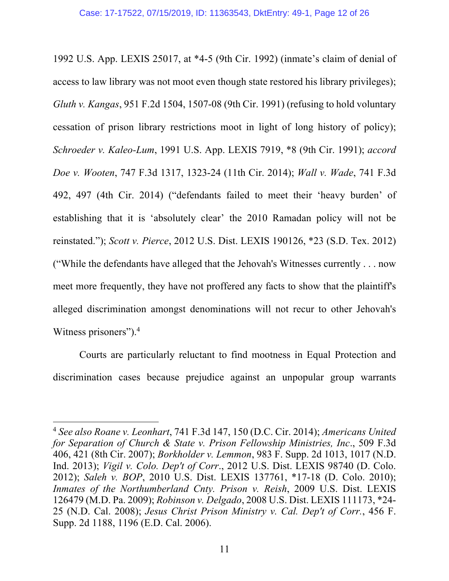1992 U.S. App. LEXIS 25017, at \*4-5 (9th Cir. 1992) (inmate's claim of denial of access to law library was not moot even though state restored his library privileges); *Gluth v. Kangas*, 951 F.2d 1504, 1507-08 (9th Cir. 1991) (refusing to hold voluntary cessation of prison library restrictions moot in light of long history of policy); *Schroeder v. Kaleo-Lum*, 1991 U.S. App. LEXIS 7919, \*8 (9th Cir. 1991); *accord Doe v. Wooten*, 747 F.3d 1317, 1323-24 (11th Cir. 2014); *Wall v. Wade*, 741 F.3d 492, 497 (4th Cir. 2014) ("defendants failed to meet their 'heavy burden' of establishing that it is 'absolutely clear' the 2010 Ramadan policy will not be reinstated."); *Scott v. Pierce*, 2012 U.S. Dist. LEXIS 190126, \*23 (S.D. Tex. 2012) ("While the defendants have alleged that the Jehovah's Witnesses currently . . . now meet more frequently, they have not proffered any facts to show that the plaintiff's alleged discrimination amongst denominations will not recur to other Jehovah's Witness prisoners"). 4

Courts are particularly reluctant to find mootness in Equal Protection and discrimination cases because prejudice against an unpopular group warrants

 <sup>4</sup> *See also Roane v. Leonhart*, 741 F.3d 147, 150 (D.C. Cir. 2014); *Americans United for Separation of Church & State v. Prison Fellowship Ministries, Inc*., 509 F.3d 406, 421 (8th Cir. 2007); *Borkholder v. Lemmon*, 983 F. Supp. 2d 1013, 1017 (N.D. Ind. 2013); *Vigil v. Colo. Dep't of Corr*., 2012 U.S. Dist. LEXIS 98740 (D. Colo. 2012); *Saleh v. BOP*, 2010 U.S. Dist. LEXIS 137761, \*17-18 (D. Colo. 2010); *Inmates of the Northumberland Cnty. Prison v. Reish*, 2009 U.S. Dist. LEXIS 126479 (M.D. Pa. 2009); *Robinson v. Delgado*, 2008 U.S. Dist. LEXIS 111173, \*24- 25 (N.D. Cal. 2008); *Jesus Christ Prison Ministry v. Cal. Dep't of Corr.*, 456 F. Supp. 2d 1188, 1196 (E.D. Cal. 2006).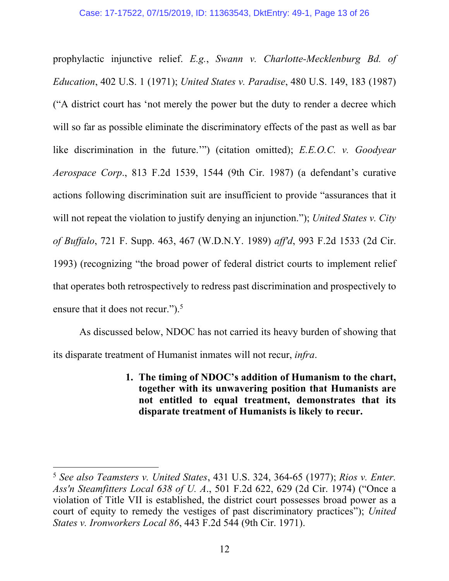prophylactic injunctive relief. *E.g.*, *Swann v. Charlotte-Mecklenburg Bd. of Education*, 402 U.S. 1 (1971); *United States v. Paradise*, 480 U.S. 149, 183 (1987) ("A district court has 'not merely the power but the duty to render a decree which will so far as possible eliminate the discriminatory effects of the past as well as bar like discrimination in the future.'") (citation omitted); *E.E.O.C. v. Goodyear Aerospace Corp*., 813 F.2d 1539, 1544 (9th Cir. 1987) (a defendant's curative actions following discrimination suit are insufficient to provide "assurances that it will not repeat the violation to justify denying an injunction."); *United States v. City of Buffalo*, 721 F. Supp. 463, 467 (W.D.N.Y. 1989) *aff'd*, 993 F.2d 1533 (2d Cir. 1993) (recognizing "the broad power of federal district courts to implement relief that operates both retrospectively to redress past discrimination and prospectively to ensure that it does not recur.").<sup>5</sup>

As discussed below, NDOC has not carried its heavy burden of showing that its disparate treatment of Humanist inmates will not recur, *infra*.

> **1. The timing of NDOC's addition of Humanism to the chart, together with its unwavering position that Humanists are not entitled to equal treatment, demonstrates that its disparate treatment of Humanists is likely to recur.**

 <sup>5</sup> *See also Teamsters v. United States*, 431 U.S. 324, 364-65 (1977); *Rios v. Enter. Ass'n Steamfitters Local 638 of U. A*., 501 F.2d 622, 629 (2d Cir. 1974) ("Once a violation of Title VII is established, the district court possesses broad power as a court of equity to remedy the vestiges of past discriminatory practices"); *United States v. Ironworkers Local 86*, 443 F.2d 544 (9th Cir. 1971).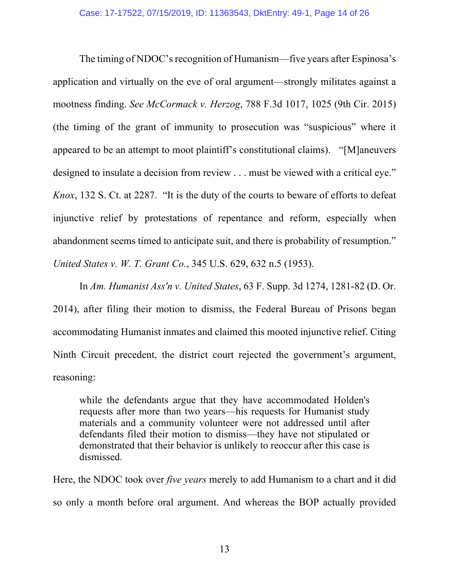The timing of NDOC's recognition of Humanism—five years after Espinosa's application and virtually on the eve of oral argument—strongly militates against a mootness finding. *See McCormack v. Herzog*, 788 F.3d 1017, 1025 (9th Cir. 2015) (the timing of the grant of immunity to prosecution was "suspicious" where it appeared to be an attempt to moot plaintiff's constitutional claims). "[M]aneuvers designed to insulate a decision from review . . . must be viewed with a critical eye." *Knox*, 132 S. Ct. at 2287. "It is the duty of the courts to beware of efforts to defeat injunctive relief by protestations of repentance and reform, especially when abandonment seems timed to anticipate suit, and there is probability of resumption." *United States v. W. T. Grant Co.*, 345 U.S. 629, 632 n.5 (1953).

In *Am. Humanist Ass'n v. United States*, 63 F. Supp. 3d 1274, 1281-82 (D. Or. 2014), after filing their motion to dismiss, the Federal Bureau of Prisons began accommodating Humanist inmates and claimed this mooted injunctive relief. Citing Ninth Circuit precedent, the district court rejected the government's argument, reasoning:

while the defendants argue that they have accommodated Holden's requests after more than two years—his requests for Humanist study materials and a community volunteer were not addressed until after defendants filed their motion to dismiss—they have not stipulated or demonstrated that their behavior is unlikely to reoccur after this case is dismissed.

Here, the NDOC took over *five years* merely to add Humanism to a chart and it did so only a month before oral argument. And whereas the BOP actually provided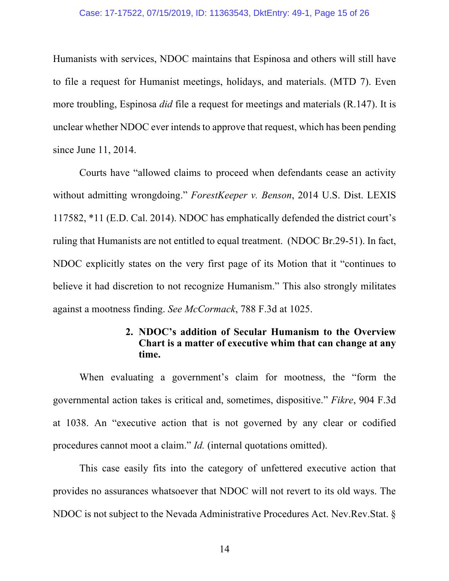#### Case: 17-17522, 07/15/2019, ID: 11363543, DktEntry: 49-1, Page 15 of 26

Humanists with services, NDOC maintains that Espinosa and others will still have to file a request for Humanist meetings, holidays, and materials. (MTD 7). Even more troubling, Espinosa *did* file a request for meetings and materials (R.147). It is unclear whether NDOC ever intends to approve that request, which has been pending since June 11, 2014.

Courts have "allowed claims to proceed when defendants cease an activity without admitting wrongdoing." *ForestKeeper v. Benson*, 2014 U.S. Dist. LEXIS 117582, \*11 (E.D. Cal. 2014). NDOC has emphatically defended the district court's ruling that Humanists are not entitled to equal treatment. (NDOC Br.29-51). In fact, NDOC explicitly states on the very first page of its Motion that it "continues to believe it had discretion to not recognize Humanism." This also strongly militates against a mootness finding. *See McCormack*, 788 F.3d at 1025.

## **2. NDOC's addition of Secular Humanism to the Overview Chart is a matter of executive whim that can change at any time.**

When evaluating a government's claim for mootness, the "form the governmental action takes is critical and, sometimes, dispositive." *Fikre*, 904 F.3d at 1038. An "executive action that is not governed by any clear or codified procedures cannot moot a claim." *Id.* (internal quotations omitted).

This case easily fits into the category of unfettered executive action that provides no assurances whatsoever that NDOC will not revert to its old ways. The NDOC is not subject to the Nevada Administrative Procedures Act. Nev.Rev.Stat. §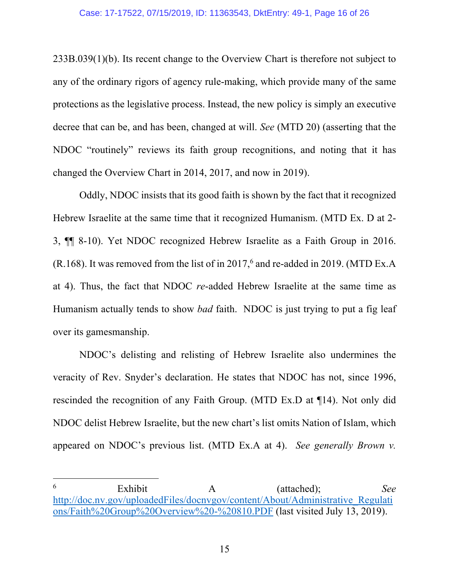#### Case: 17-17522, 07/15/2019, ID: 11363543, DktEntry: 49-1, Page 16 of 26

233B.039(1)(b). Its recent change to the Overview Chart is therefore not subject to any of the ordinary rigors of agency rule-making, which provide many of the same protections as the legislative process. Instead, the new policy is simply an executive decree that can be, and has been, changed at will. *See* (MTD 20) (asserting that the NDOC "routinely" reviews its faith group recognitions, and noting that it has changed the Overview Chart in 2014, 2017, and now in 2019).

Oddly, NDOC insists that its good faith is shown by the fact that it recognized Hebrew Israelite at the same time that it recognized Humanism. (MTD Ex. D at 2- 3, ¶¶ 8-10). Yet NDOC recognized Hebrew Israelite as a Faith Group in 2016. (R.168). It was removed from the list of in 2017, <sup>6</sup> and re-added in 2019. (MTD Ex.A at 4). Thus, the fact that NDOC *re*-added Hebrew Israelite at the same time as Humanism actually tends to show *bad* faith. NDOC is just trying to put a fig leaf over its gamesmanship.

NDOC's delisting and relisting of Hebrew Israelite also undermines the veracity of Rev. Snyder's declaration. He states that NDOC has not, since 1996, rescinded the recognition of any Faith Group. (MTD Ex.D at ¶14). Not only did NDOC delist Hebrew Israelite, but the new chart's list omits Nation of Islam, which appeared on NDOC's previous list. (MTD Ex.A at 4). *See generally Brown v.* 

 <sup>6</sup> Exhibit A (attached); *See* http://doc.nv.gov/uploadedFiles/docnvgov/content/About/Administrative\_Regulati ons/Faith%20Group%20Overview%20-%20810.PDF (last visited July 13, 2019).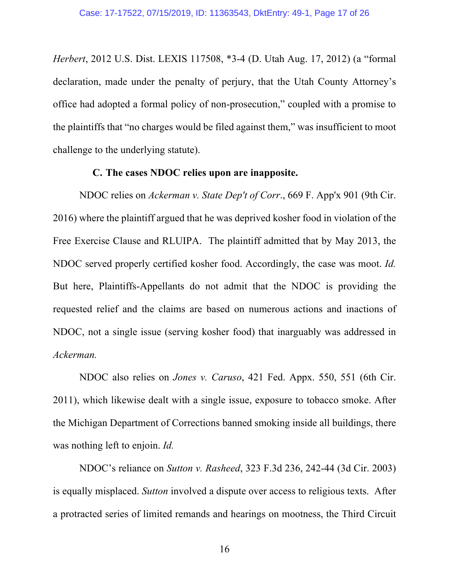*Herbert*, 2012 U.S. Dist. LEXIS 117508, \*3-4 (D. Utah Aug. 17, 2012) (a "formal declaration, made under the penalty of perjury, that the Utah County Attorney's office had adopted a formal policy of non-prosecution," coupled with a promise to the plaintiffs that "no charges would be filed against them," was insufficient to moot challenge to the underlying statute).

#### **C. The cases NDOC relies upon are inapposite.**

NDOC relies on *Ackerman v. State Dep't of Corr*., 669 F. App'x 901 (9th Cir. 2016) where the plaintiff argued that he was deprived kosher food in violation of the Free Exercise Clause and RLUIPA. The plaintiff admitted that by May 2013, the NDOC served properly certified kosher food. Accordingly, the case was moot. *Id.*  But here, Plaintiffs-Appellants do not admit that the NDOC is providing the requested relief and the claims are based on numerous actions and inactions of NDOC, not a single issue (serving kosher food) that inarguably was addressed in *Ackerman.* 

NDOC also relies on *Jones v. Caruso*, 421 Fed. Appx. 550, 551 (6th Cir. 2011), which likewise dealt with a single issue, exposure to tobacco smoke. After the Michigan Department of Corrections banned smoking inside all buildings, there was nothing left to enjoin. *Id.* 

NDOC's reliance on *Sutton v. Rasheed*, 323 F.3d 236, 242-44 (3d Cir. 2003) is equally misplaced. *Sutton* involved a dispute over access to religious texts. After a protracted series of limited remands and hearings on mootness, the Third Circuit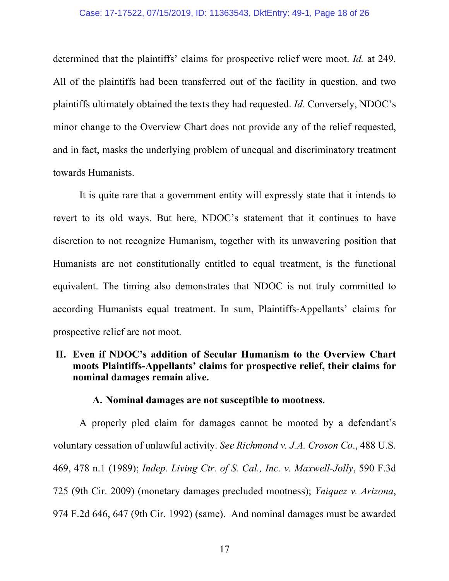#### Case: 17-17522, 07/15/2019, ID: 11363543, DktEntry: 49-1, Page 18 of 26

determined that the plaintiffs' claims for prospective relief were moot. *Id.* at 249. All of the plaintiffs had been transferred out of the facility in question, and two plaintiffs ultimately obtained the texts they had requested. *Id.* Conversely, NDOC's minor change to the Overview Chart does not provide any of the relief requested, and in fact, masks the underlying problem of unequal and discriminatory treatment towards Humanists.

It is quite rare that a government entity will expressly state that it intends to revert to its old ways. But here, NDOC's statement that it continues to have discretion to not recognize Humanism, together with its unwavering position that Humanists are not constitutionally entitled to equal treatment, is the functional equivalent. The timing also demonstrates that NDOC is not truly committed to according Humanists equal treatment. In sum, Plaintiffs-Appellants' claims for prospective relief are not moot.

## **II. Even if NDOC's addition of Secular Humanism to the Overview Chart moots Plaintiffs-Appellants' claims for prospective relief, their claims for nominal damages remain alive.**

### **A. Nominal damages are not susceptible to mootness.**

A properly pled claim for damages cannot be mooted by a defendant's voluntary cessation of unlawful activity. *See Richmond v. J.A. Croson Co*., 488 U.S. 469, 478 n.1 (1989); *Indep. Living Ctr. of S. Cal., Inc. v. Maxwell-Jolly*, 590 F.3d 725 (9th Cir. 2009) (monetary damages precluded mootness); *Yniquez v. Arizona*, 974 F.2d 646, 647 (9th Cir. 1992) (same). And nominal damages must be awarded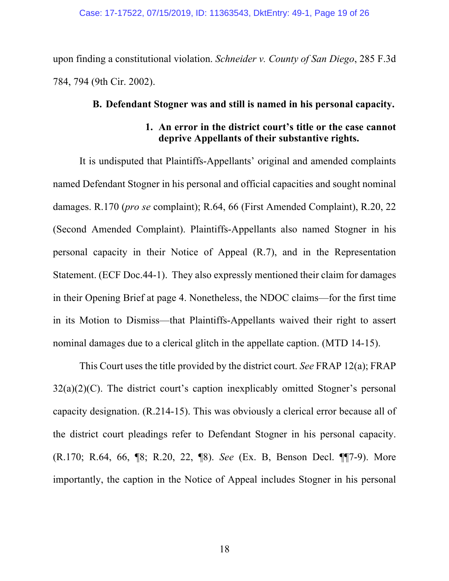upon finding a constitutional violation. *Schneider v. County of San Diego*, 285 F.3d 784, 794 (9th Cir. 2002).

#### **B. Defendant Stogner was and still is named in his personal capacity.**

## **1. An error in the district court's title or the case cannot deprive Appellants of their substantive rights.**

It is undisputed that Plaintiffs-Appellants' original and amended complaints named Defendant Stogner in his personal and official capacities and sought nominal damages. R.170 (*pro se* complaint); R.64, 66 (First Amended Complaint), R.20, 22 (Second Amended Complaint). Plaintiffs-Appellants also named Stogner in his personal capacity in their Notice of Appeal (R.7), and in the Representation Statement. (ECF Doc.44-1). They also expressly mentioned their claim for damages in their Opening Brief at page 4. Nonetheless, the NDOC claims—for the first time in its Motion to Dismiss—that Plaintiffs-Appellants waived their right to assert nominal damages due to a clerical glitch in the appellate caption. (MTD 14-15).

This Court uses the title provided by the district court. *See* FRAP 12(a); FRAP  $32(a)(2)(C)$ . The district court's caption inexplicably omitted Stogner's personal capacity designation. (R.214-15). This was obviously a clerical error because all of the district court pleadings refer to Defendant Stogner in his personal capacity. (R.170; R.64, 66, ¶8; R.20, 22, ¶8). *See* (Ex. B, Benson Decl. ¶¶7-9). More importantly, the caption in the Notice of Appeal includes Stogner in his personal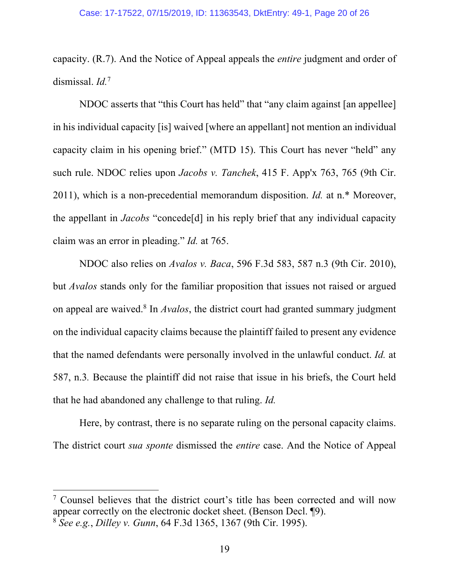capacity. (R.7). And the Notice of Appeal appeals the *entire* judgment and order of dismissal. *Id.*<sup>7</sup>

NDOC asserts that "this Court has held" that "any claim against [an appellee] in his individual capacity [is] waived [where an appellant] not mention an individual capacity claim in his opening brief." (MTD 15). This Court has never "held" any such rule. NDOC relies upon *Jacobs v. Tanchek*, 415 F. App'x 763, 765 (9th Cir. 2011), which is a non-precedential memorandum disposition. *Id.* at n.\* Moreover, the appellant in *Jacobs* "concede[d] in his reply brief that any individual capacity claim was an error in pleading." *Id.* at 765.

NDOC also relies on *Avalos v. Baca*, 596 F.3d 583, 587 n.3 (9th Cir. 2010), but *Avalos* stands only for the familiar proposition that issues not raised or argued on appeal are waived.8 In *Avalos*, the district court had granted summary judgment on the individual capacity claims because the plaintiff failed to present any evidence that the named defendants were personally involved in the unlawful conduct. *Id.* at 587, n.3*.* Because the plaintiff did not raise that issue in his briefs, the Court held that he had abandoned any challenge to that ruling. *Id.* 

Here, by contrast, there is no separate ruling on the personal capacity claims. The district court *sua sponte* dismissed the *entire* case. And the Notice of Appeal

 <sup>7</sup> Counsel believes that the district court's title has been corrected and will now appear correctly on the electronic docket sheet. (Benson Decl. ¶9).

<sup>8</sup> *See e.g.*, *Dilley v. Gunn*, 64 F.3d 1365, 1367 (9th Cir. 1995).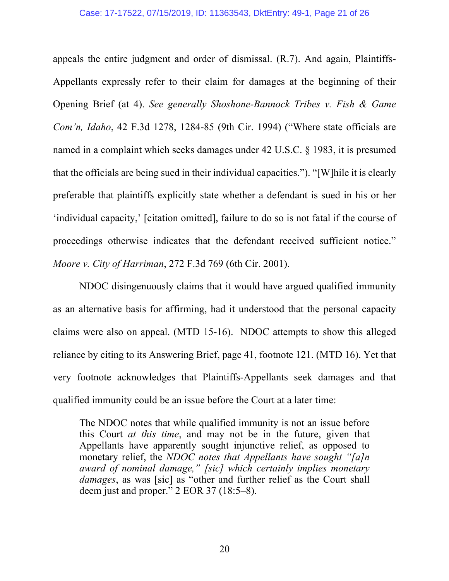#### Case: 17-17522, 07/15/2019, ID: 11363543, DktEntry: 49-1, Page 21 of 26

appeals the entire judgment and order of dismissal. (R.7). And again, Plaintiffs-Appellants expressly refer to their claim for damages at the beginning of their Opening Brief (at 4). *See generally Shoshone-Bannock Tribes v. Fish & Game Com'n, Idaho*, 42 F.3d 1278, 1284-85 (9th Cir. 1994) ("Where state officials are named in a complaint which seeks damages under 42 U.S.C. § 1983, it is presumed that the officials are being sued in their individual capacities."). "[W]hile it is clearly preferable that plaintiffs explicitly state whether a defendant is sued in his or her 'individual capacity,' [citation omitted], failure to do so is not fatal if the course of proceedings otherwise indicates that the defendant received sufficient notice." *Moore v. City of Harriman*, 272 F.3d 769 (6th Cir. 2001).

NDOC disingenuously claims that it would have argued qualified immunity as an alternative basis for affirming, had it understood that the personal capacity claims were also on appeal. (MTD 15-16). NDOC attempts to show this alleged reliance by citing to its Answering Brief, page 41, footnote 121. (MTD 16). Yet that very footnote acknowledges that Plaintiffs-Appellants seek damages and that qualified immunity could be an issue before the Court at a later time:

The NDOC notes that while qualified immunity is not an issue before this Court *at this time*, and may not be in the future, given that Appellants have apparently sought injunctive relief, as opposed to monetary relief, the *NDOC notes that Appellants have sought "[a]n award of nominal damage," [sic] which certainly implies monetary damages*, as was [sic] as "other and further relief as the Court shall deem just and proper." 2 EOR 37 (18:5–8).

20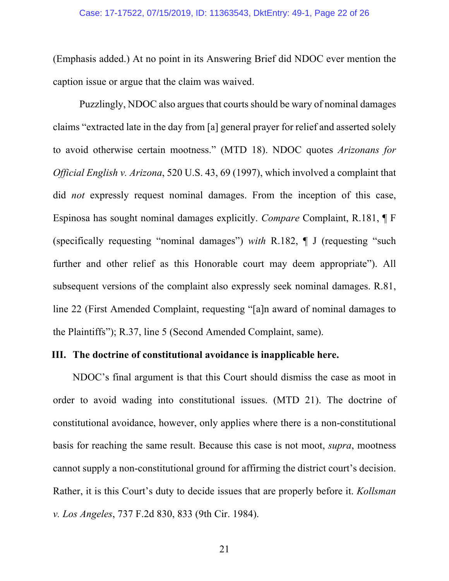(Emphasis added.) At no point in its Answering Brief did NDOC ever mention the caption issue or argue that the claim was waived.

Puzzlingly, NDOC also argues that courts should be wary of nominal damages claims "extracted late in the day from [a] general prayer for relief and asserted solely to avoid otherwise certain mootness." (MTD 18). NDOC quotes *Arizonans for Official English v. Arizona*, 520 U.S. 43, 69 (1997), which involved a complaint that did *not* expressly request nominal damages. From the inception of this case, Espinosa has sought nominal damages explicitly. *Compare* Complaint, R.181, ¶ F (specifically requesting "nominal damages") *with* R.182, ¶ J (requesting "such further and other relief as this Honorable court may deem appropriate"). All subsequent versions of the complaint also expressly seek nominal damages. R.81, line 22 (First Amended Complaint, requesting "[a]n award of nominal damages to the Plaintiffs"); R.37, line 5 (Second Amended Complaint, same).

## **III. The doctrine of constitutional avoidance is inapplicable here.**

NDOC's final argument is that this Court should dismiss the case as moot in order to avoid wading into constitutional issues. (MTD 21). The doctrine of constitutional avoidance, however, only applies where there is a non-constitutional basis for reaching the same result. Because this case is not moot, *supra*, mootness cannot supply a non-constitutional ground for affirming the district court's decision. Rather, it is this Court's duty to decide issues that are properly before it. *Kollsman v. Los Angeles*, 737 F.2d 830, 833 (9th Cir. 1984).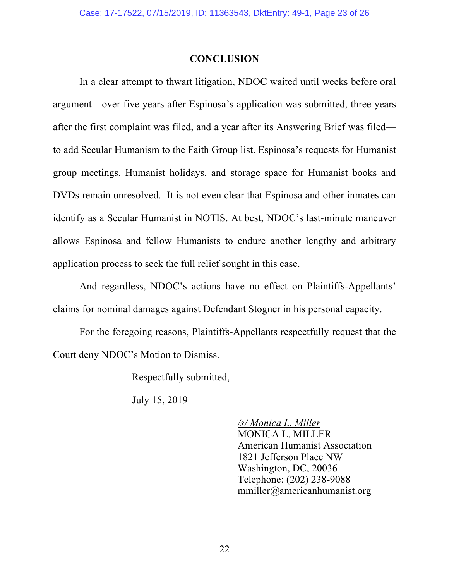### **CONCLUSION**

In a clear attempt to thwart litigation, NDOC waited until weeks before oral argument—over five years after Espinosa's application was submitted, three years after the first complaint was filed, and a year after its Answering Brief was filed to add Secular Humanism to the Faith Group list. Espinosa's requests for Humanist group meetings, Humanist holidays, and storage space for Humanist books and DVDs remain unresolved. It is not even clear that Espinosa and other inmates can identify as a Secular Humanist in NOTIS. At best, NDOC's last-minute maneuver allows Espinosa and fellow Humanists to endure another lengthy and arbitrary application process to seek the full relief sought in this case.

And regardless, NDOC's actions have no effect on Plaintiffs-Appellants' claims for nominal damages against Defendant Stogner in his personal capacity.

For the foregoing reasons, Plaintiffs-Appellants respectfully request that the Court deny NDOC's Motion to Dismiss.

Respectfully submitted,

July 15, 2019

*/s/ Monica L. Miller* MONICA L. MILLER American Humanist Association 1821 Jefferson Place NW Washington, DC, 20036 Telephone: (202) 238-9088 mmiller@americanhumanist.org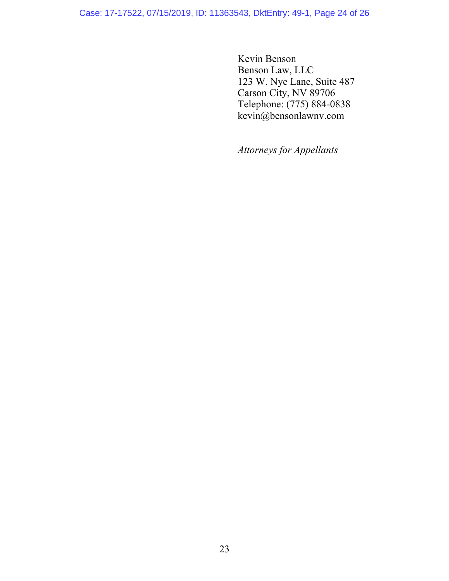Case: 17-17522, 07/15/2019, ID: 11363543, DktEntry: 49-1, Page 24 of 26

Kevin Benson Benson Law, LLC 123 W. Nye Lane, Suite 487 Carson City, NV 89706 Telephone: (775) 884-0838 kevin@bensonlawnv.com

*Attorneys for Appellants*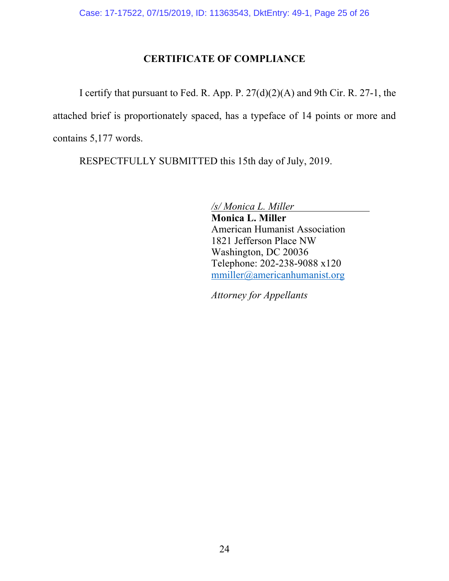# **CERTIFICATE OF COMPLIANCE**

I certify that pursuant to Fed. R. App. P. 27(d)(2)(A) and 9th Cir. R. 27-1, the attached brief is proportionately spaced, has a typeface of 14 points or more and contains 5,177 words.

RESPECTFULLY SUBMITTED this 15th day of July, 2019.

*/s/ Monica L. Miller*

**Monica L. Miller**  American Humanist Association 1821 Jefferson Place NW Washington, DC 20036 Telephone: 202-238-9088 x120 mmiller@americanhumanist.org

*Attorney for Appellants*